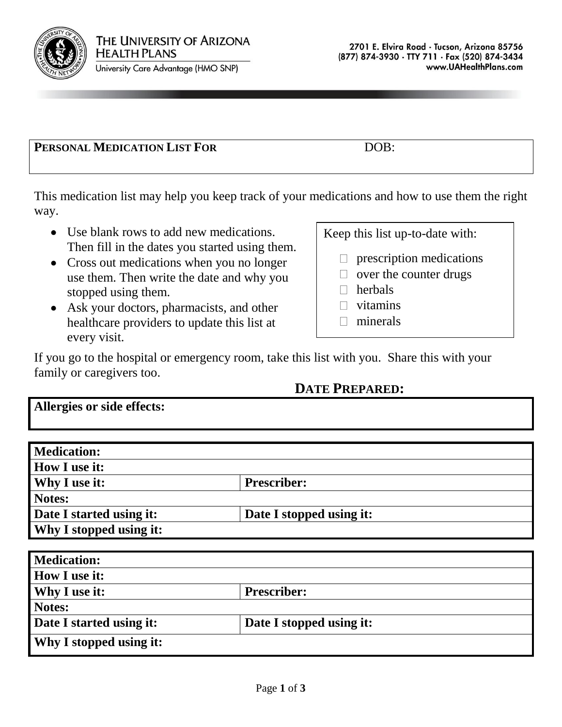

University Care Advantage (HMO SNP)

## **PERSONAL MEDICATION LIST FOR** DOB:

This medication list may help you keep track of your medications and how to use them the right way.

- Use blank rows to add new medications. Then fill in the dates you started using them.
- Cross out medications when you no longer use them. Then write the date and why you stopped using them.
- Ask your doctors, pharmacists, and other healthcare providers to update this list at every visit.

Keep this list up-to-date with:

- prescription medications  $\Box$
- $\Box$  over the counter drugs
- $\Box$  herbals
- $\Box$  vitamins
- $\Box$  minerals

If you go to the hospital or emergency room, take this list with you. Share this with your family or caregivers too.

## **DATE PREPARED:**

**Allergies or side effects:**

| <b>Medication:</b>             |                          |  |
|--------------------------------|--------------------------|--|
| <b>How I use it:</b>           |                          |  |
| <b>Why I use it:</b>           | <b>Prescriber:</b>       |  |
| Notes:                         |                          |  |
| Date I started using it:       | Date I stopped using it: |  |
| <b>Why I stopped using it:</b> |                          |  |

| <b>Medication:</b>             |                          |
|--------------------------------|--------------------------|
| <b>How I use it:</b>           |                          |
| <b>Why I use it:</b>           | <b>Prescriber:</b>       |
| Notes:                         |                          |
| Date I started using it:       | Date I stopped using it: |
| <b>Why I stopped using it:</b> |                          |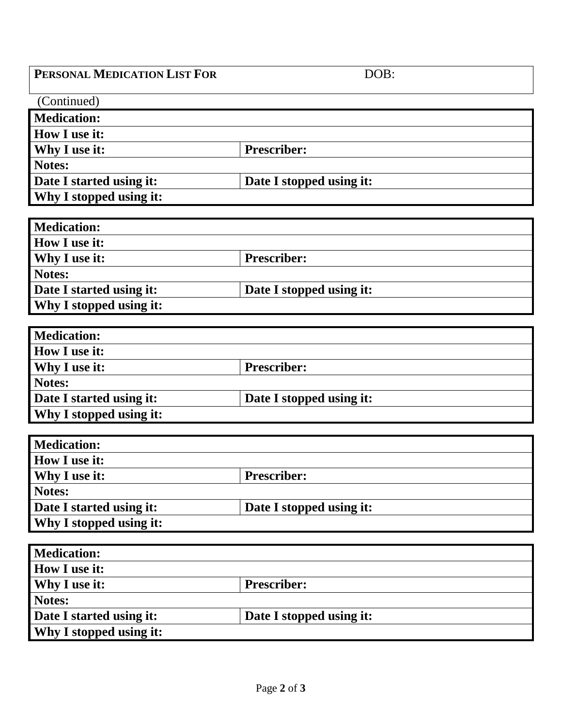## **PERSONAL MEDICATION LIST FOR** DOB:

| <b>Prescriber:</b>       |  |
|--------------------------|--|
|                          |  |
| Date I stopped using it: |  |
|                          |  |
|                          |  |

| <b>Medication:</b>       |                          |
|--------------------------|--------------------------|
| <b>How I use it:</b>     |                          |
| <b>Why I use it:</b>     | <b>Prescriber:</b>       |
| Notes:                   |                          |
| Date I started using it: | Date I stopped using it: |
| Why I stopped using it:  |                          |

| <b>Medication:</b>       |                          |
|--------------------------|--------------------------|
| <b>How I use it:</b>     |                          |
| <b>Why I use it:</b>     | <b>Prescriber:</b>       |
| Notes:                   |                          |
| Date I started using it: | Date I stopped using it: |
| Why I stopped using it:  |                          |

| <b>Medication:</b>             |                          |
|--------------------------------|--------------------------|
| <b>How I use it:</b>           |                          |
| <b>Why I use it:</b>           | <b>Prescriber:</b>       |
| Notes:                         |                          |
| Date I started using it:       | Date I stopped using it: |
| <b>Why I stopped using it:</b> |                          |

| <b>Medication:</b>             |                          |
|--------------------------------|--------------------------|
| <b>How I use it:</b>           |                          |
| <b>Why I use it:</b>           | <b>Prescriber:</b>       |
| Notes:                         |                          |
| Date I started using it:       | Date I stopped using it: |
| <b>Why I stopped using it:</b> |                          |